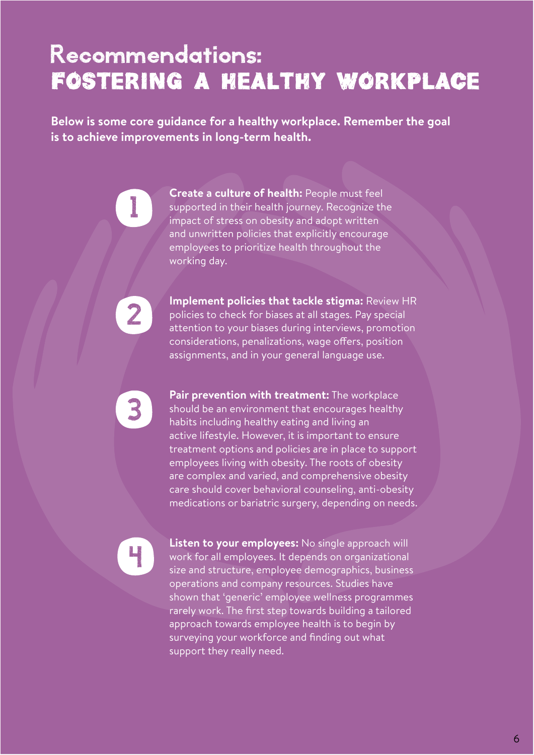## Recommendations: Fostering a healthy workplace

**Below is some core guidance for a healthy workplace. Remember the goal is to achieve improvements in long-term health.** 

> **Create a culture of health:** People must feel supported in their health journey. Recognize the impact of stress on obesity and adopt written and unwritten policies that explicitly encourage employees to prioritize health throughout the working day.

**Implement policies that tackle stigma:** Review HR policies to check for biases at all stages. Pay special attention to your biases during interviews, promotion considerations, penalizations, wage offers, position assignments, and in your general language use.

**Pair prevention with treatment:** The workplace should be an environment that encourages healthy habits including healthy eating and living an active lifestyle. However, it is important to ensure treatment options and policies are in place to support employees living with obesity. The roots of obesity are complex and varied, and comprehensive obesity care should cover behavioral counseling, anti-obesity medications or bariatric surgery, depending on needs.

4

1999

2

3

**Listen to your employees:** No single approach will work for all employees. It depends on organizational size and structure, employee demographics, business operations and company resources. Studies have shown that 'generic' employee wellness programmes rarely work. The first step towards building a tailored approach towards employee health is to begin by surveying your workforce and finding out what support they really need.